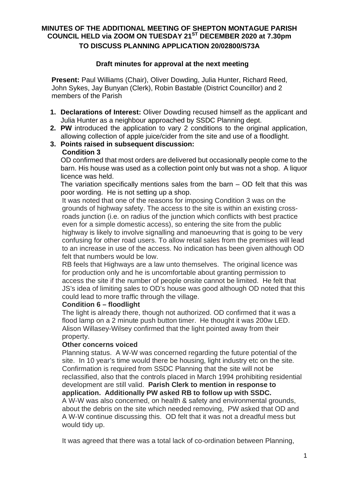## **MINUTES OF THE ADDITIONAL MEETING OF SHEPTON MONTAGUE PARISH COUNCIL HELD via ZOOM ON TUESDAY 21ST DECEMBER 2020 at 7.30pm TO DISCUSS PLANNING APPLICATION 20/02800/S73A**

## **Draft minutes for approval at the next meeting**

**Present:** Paul Williams (Chair), Oliver Dowding, Julia Hunter, Richard Reed, John Sykes, Jay Bunyan (Clerk), Robin Bastable (District Councillor) and 2 members of the Parish

- **1. Declarations of Interest:** Oliver Dowding recused himself as the applicant and Julia Hunter as a neighbour approached by SSDC Planning dept.
- **2. PW** introduced the application to vary 2 conditions to the original application, allowing collection of apple juice/cider from the site and use of a floodlight.
- **3. Points raised in subsequent discussion: Condition 3**

OD confirmed that most orders are delivered but occasionally people come to the barn. His house was used as a collection point only but was not a shop. A liquor licence was held.

The variation specifically mentions sales from the barn – OD felt that this was poor wording. He is not setting up a shop.

It was noted that one of the reasons for imposing Condition 3 was on the grounds of highway safety. The access to the site is within an existing crossroads junction (i.e. on radius of the junction which conflicts with best practice even for a simple domestic access), so entering the site from the public highway is likely to involve signalling and manoeuvring that is going to be very confusing for other road users. To allow retail sales from the premises will lead to an increase in use of the access. No indication has been given although OD felt that numbers would be low.

 RB feels that Highways are a law unto themselves. The original licence was for production only and he is uncomfortable about granting permission to access the site if the number of people onsite cannot be limited. He felt that JS's idea of limiting sales to OD's house was good although OD noted that this could lead to more traffic through the village.

## **Condition 6 – floodlight**

 The light is already there, though not authorized. OD confirmed that it was a flood lamp on a 2 minute push button timer. He thought it was 200w LED. Alison Willasey-Wilsey confirmed that the light pointed away from their property.

## **Other concerns voiced**

 Planning status. A W-W was concerned regarding the future potential of the site. In 10 year's time would there be housing, light industry etc on the site. Confirmation is required from SSDC Planning that the site will not be reclassified, also that the controls placed in March 1994 prohibiting residential development are still valid. **Parish Clerk to mention in response to application. Additionally PW asked RB to follow up with SSDC.**

 A W-W was also concerned, on health & safety and environmental grounds, about the debris on the site which needed removing, PW asked that OD and A W-W continue discussing this. OD felt that it was not a dreadful mess but would tidy up.

It was agreed that there was a total lack of co-ordination between Planning,